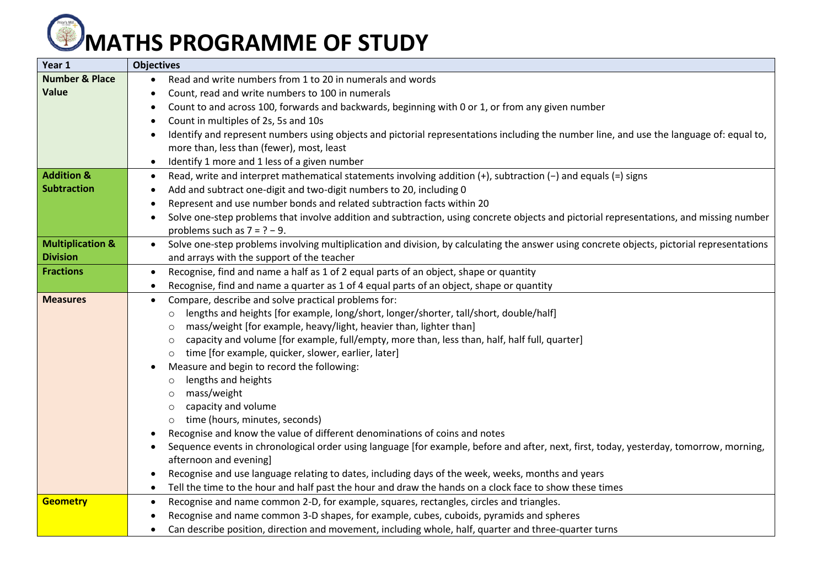## **MATHS PROGRAMME OF STUDY**

| <b>Objectives</b><br>Year 1                                                                                                                                               |  |
|---------------------------------------------------------------------------------------------------------------------------------------------------------------------------|--|
| <b>Number &amp; Place</b><br>Read and write numbers from 1 to 20 in numerals and words                                                                                    |  |
| Value<br>Count, read and write numbers to 100 in numerals                                                                                                                 |  |
| Count to and across 100, forwards and backwards, beginning with 0 or 1, or from any given number                                                                          |  |
| Count in multiples of 2s, 5s and 10s                                                                                                                                      |  |
| Identify and represent numbers using objects and pictorial representations including the number line, and use the language of: equal to,                                  |  |
| more than, less than (fewer), most, least                                                                                                                                 |  |
| Identify 1 more and 1 less of a given number<br>$\bullet$                                                                                                                 |  |
| <b>Addition &amp;</b><br>Read, write and interpret mathematical statements involving addition (+), subtraction (-) and equals (=) signs                                   |  |
| <b>Subtraction</b><br>Add and subtract one-digit and two-digit numbers to 20, including 0                                                                                 |  |
| Represent and use number bonds and related subtraction facts within 20                                                                                                    |  |
| Solve one-step problems that involve addition and subtraction, using concrete objects and pictorial representations, and missing number                                   |  |
| problems such as $7 = ? - 9$ .                                                                                                                                            |  |
| <b>Multiplication &amp;</b><br>Solve one-step problems involving multiplication and division, by calculating the answer using concrete objects, pictorial representations |  |
| <b>Division</b><br>and arrays with the support of the teacher                                                                                                             |  |
| Recognise, find and name a half as 1 of 2 equal parts of an object, shape or quantity<br><b>Fractions</b>                                                                 |  |
| Recognise, find and name a quarter as 1 of 4 equal parts of an object, shape or quantity                                                                                  |  |
| Compare, describe and solve practical problems for:<br><b>Measures</b><br>$\bullet$                                                                                       |  |
| lengths and heights [for example, long/short, longer/shorter, tall/short, double/half]<br>$\circ$                                                                         |  |
| mass/weight [for example, heavy/light, heavier than, lighter than]<br>$\circ$                                                                                             |  |
| capacity and volume [for example, full/empty, more than, less than, half, half full, quarter]<br>$\circ$                                                                  |  |
| o time [for example, quicker, slower, earlier, later]                                                                                                                     |  |
| Measure and begin to record the following:                                                                                                                                |  |
| lengths and heights<br>$\circ$                                                                                                                                            |  |
| mass/weight<br>$\circ$                                                                                                                                                    |  |
| capacity and volume<br>$\circ$<br>time (hours, minutes, seconds)<br>$\circ$                                                                                               |  |
| Recognise and know the value of different denominations of coins and notes                                                                                                |  |
| Sequence events in chronological order using language [for example, before and after, next, first, today, yesterday, tomorrow, morning,                                   |  |
| afternoon and evening]                                                                                                                                                    |  |
| Recognise and use language relating to dates, including days of the week, weeks, months and years                                                                         |  |
| Tell the time to the hour and half past the hour and draw the hands on a clock face to show these times                                                                   |  |
| Recognise and name common 2-D, for example, squares, rectangles, circles and triangles.<br><b>Geometry</b><br>$\bullet$                                                   |  |
| Recognise and name common 3-D shapes, for example, cubes, cuboids, pyramids and spheres                                                                                   |  |
| Can describe position, direction and movement, including whole, half, quarter and three-quarter turns                                                                     |  |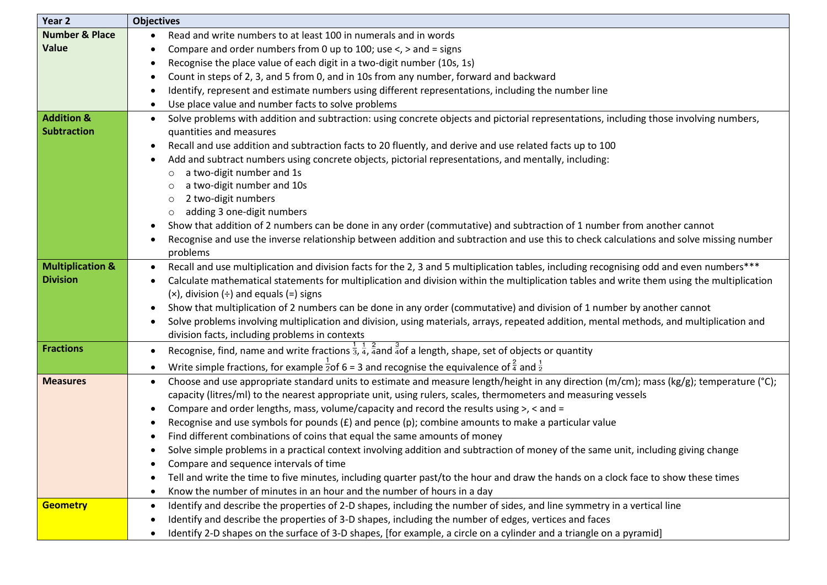| Year 2                      | <b>Objectives</b>                                                                                                                                        |
|-----------------------------|----------------------------------------------------------------------------------------------------------------------------------------------------------|
| <b>Number &amp; Place</b>   | Read and write numbers to at least 100 in numerals and in words                                                                                          |
| <b>Value</b>                | Compare and order numbers from 0 up to 100; use $\lt$ , $>$ and = signs                                                                                  |
|                             | Recognise the place value of each digit in a two-digit number (10s, 1s)                                                                                  |
|                             | Count in steps of 2, 3, and 5 from 0, and in 10s from any number, forward and backward<br>$\bullet$                                                      |
|                             | Identify, represent and estimate numbers using different representations, including the number line                                                      |
|                             | Use place value and number facts to solve problems                                                                                                       |
| <b>Addition &amp;</b>       | Solve problems with addition and subtraction: using concrete objects and pictorial representations, including those involving numbers,<br>$\bullet$      |
| <b>Subtraction</b>          | quantities and measures                                                                                                                                  |
|                             | Recall and use addition and subtraction facts to 20 fluently, and derive and use related facts up to 100                                                 |
|                             | Add and subtract numbers using concrete objects, pictorial representations, and mentally, including:                                                     |
|                             | a two-digit number and 1s<br>$\circ$                                                                                                                     |
|                             | a two-digit number and 10s<br>$\circ$                                                                                                                    |
|                             | 2 two-digit numbers<br>$\circ$                                                                                                                           |
|                             | adding 3 one-digit numbers<br>$\circ$                                                                                                                    |
|                             | Show that addition of 2 numbers can be done in any order (commutative) and subtraction of 1 number from another cannot                                   |
|                             | Recognise and use the inverse relationship between addition and subtraction and use this to check calculations and solve missing number                  |
|                             | problems                                                                                                                                                 |
| <b>Multiplication &amp;</b> | Recall and use multiplication and division facts for the 2, 3 and 5 multiplication tables, including recognising odd and even numbers***                 |
| <b>Division</b>             | Calculate mathematical statements for multiplication and division within the multiplication tables and write them using the multiplication               |
|                             | $(x)$ , division $(\div)$ and equals $(=)$ signs                                                                                                         |
|                             | Show that multiplication of 2 numbers can be done in any order (commutative) and division of 1 number by another cannot                                  |
|                             | Solve problems involving multiplication and division, using materials, arrays, repeated addition, mental methods, and multiplication and                 |
|                             | division facts, including problems in contexts                                                                                                           |
| <b>Fractions</b>            | Recognise, find, name and write fractions $\frac{1}{3}$ , $\frac{1}{4}$ , $\frac{2}{4}$ and $\frac{3}{4}$ of a length, shape, set of objects or quantity |
|                             | Write simple fractions, for example $\frac{1}{2}$ of 6 = 3 and recognise the equivalence of $\frac{2}{4}$ and $\frac{1}{2}$                              |
| <b>Measures</b>             | Choose and use appropriate standard units to estimate and measure length/height in any direction (m/cm); mass (kg/g); temperature (°C);<br>$\bullet$     |
|                             | capacity (litres/ml) to the nearest appropriate unit, using rulers, scales, thermometers and measuring vessels                                           |
|                             | Compare and order lengths, mass, volume/capacity and record the results using >, < and =                                                                 |
|                             | Recognise and use symbols for pounds $(E)$ and pence (p); combine amounts to make a particular value                                                     |
|                             | Find different combinations of coins that equal the same amounts of money                                                                                |
|                             | Solve simple problems in a practical context involving addition and subtraction of money of the same unit, including giving change                       |
|                             | Compare and sequence intervals of time                                                                                                                   |
|                             | Tell and write the time to five minutes, including quarter past/to the hour and draw the hands on a clock face to show these times<br>$\bullet$          |
|                             | Know the number of minutes in an hour and the number of hours in a day<br>$\bullet$                                                                      |
| <b>Geometry</b>             | Identify and describe the properties of 2-D shapes, including the number of sides, and line symmetry in a vertical line<br>$\bullet$                     |
|                             | Identify and describe the properties of 3-D shapes, including the number of edges, vertices and faces                                                    |
|                             | Identify 2-D shapes on the surface of 3-D shapes, [for example, a circle on a cylinder and a triangle on a pyramid]                                      |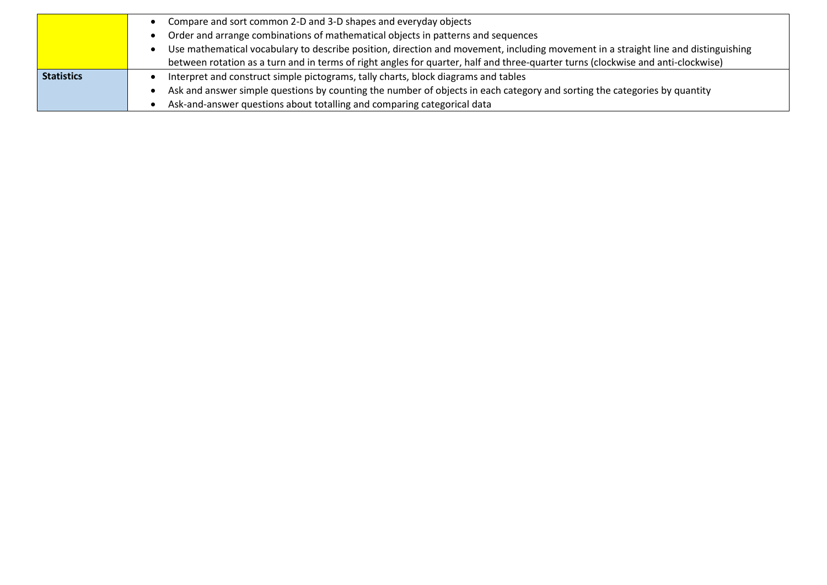|                   | Compare and sort common 2-D and 3-D shapes and everyday objects                                                                    |
|-------------------|------------------------------------------------------------------------------------------------------------------------------------|
|                   | Order and arrange combinations of mathematical objects in patterns and sequences                                                   |
|                   | Use mathematical vocabulary to describe position, direction and movement, including movement in a straight line and distinguishing |
|                   | between rotation as a turn and in terms of right angles for quarter, half and three-quarter turns (clockwise and anti-clockwise)   |
| <b>Statistics</b> | Interpret and construct simple pictograms, tally charts, block diagrams and tables                                                 |
|                   | Ask and answer simple questions by counting the number of objects in each category and sorting the categories by quantity          |
|                   | Ask-and-answer questions about totalling and comparing categorical data                                                            |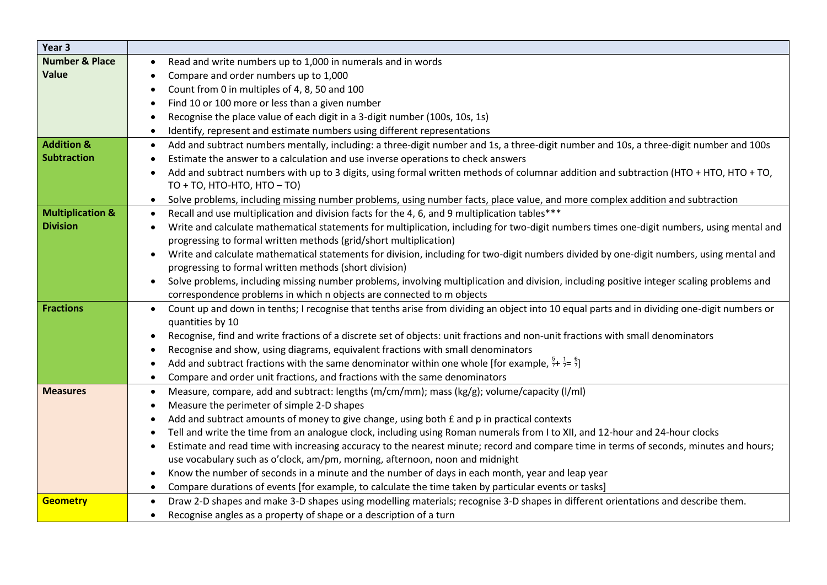| Year <sub>3</sub>           |                                                                                                                                                                         |
|-----------------------------|-------------------------------------------------------------------------------------------------------------------------------------------------------------------------|
| <b>Number &amp; Place</b>   | Read and write numbers up to 1,000 in numerals and in words                                                                                                             |
| Value                       | Compare and order numbers up to 1,000                                                                                                                                   |
|                             | Count from 0 in multiples of 4, 8, 50 and 100                                                                                                                           |
|                             | Find 10 or 100 more or less than a given number                                                                                                                         |
|                             | Recognise the place value of each digit in a 3-digit number (100s, 10s, 1s)<br>$\bullet$                                                                                |
|                             | Identify, represent and estimate numbers using different representations<br>$\bullet$                                                                                   |
| <b>Addition &amp;</b>       | Add and subtract numbers mentally, including: a three-digit number and 1s, a three-digit number and 10s, a three-digit number and 100s<br>$\bullet$                     |
| <b>Subtraction</b>          | Estimate the answer to a calculation and use inverse operations to check answers                                                                                        |
|                             | Add and subtract numbers with up to 3 digits, using formal written methods of columnar addition and subtraction (HTO + HTO, HTO + TO,<br>$TO + TO$ , HTO-HTO, HTO - TO) |
|                             | Solve problems, including missing number problems, using number facts, place value, and more complex addition and subtraction<br>$\bullet$                              |
| <b>Multiplication &amp;</b> | Recall and use multiplication and division facts for the 4, 6, and 9 multiplication tables***<br>$\bullet$                                                              |
| <b>Division</b>             | Write and calculate mathematical statements for multiplication, including for two-digit numbers times one-digit numbers, using mental and<br>$\bullet$                  |
|                             | progressing to formal written methods (grid/short multiplication)                                                                                                       |
|                             | Write and calculate mathematical statements for division, including for two-digit numbers divided by one-digit numbers, using mental and                                |
|                             | progressing to formal written methods (short division)                                                                                                                  |
|                             | Solve problems, including missing number problems, involving multiplication and division, including positive integer scaling problems and                               |
|                             | correspondence problems in which n objects are connected to m objects                                                                                                   |
| <b>Fractions</b>            | Count up and down in tenths; I recognise that tenths arise from dividing an object into 10 equal parts and in dividing one-digit numbers or<br>$\bullet$                |
|                             | quantities by 10                                                                                                                                                        |
|                             | Recognise, find and write fractions of a discrete set of objects: unit fractions and non-unit fractions with small denominators                                         |
|                             | Recognise and show, using diagrams, equivalent fractions with small denominators                                                                                        |
|                             | Add and subtract fractions with the same denominator within one whole [for example, $\frac{3}{7}$ + $\frac{1}{7}$ = $\frac{5}{7}$ ]                                     |
|                             | Compare and order unit fractions, and fractions with the same denominators<br>$\bullet$                                                                                 |
| <b>Measures</b>             | Measure, compare, add and subtract: lengths (m/cm/mm); mass (kg/g); volume/capacity (l/ml)<br>$\bullet$                                                                 |
|                             | Measure the perimeter of simple 2-D shapes<br>$\bullet$                                                                                                                 |
|                             | Add and subtract amounts of money to give change, using both £ and p in practical contexts<br>$\bullet$                                                                 |
|                             | Tell and write the time from an analogue clock, including using Roman numerals from I to XII, and 12-hour and 24-hour clocks<br>$\bullet$                               |
|                             | Estimate and read time with increasing accuracy to the nearest minute; record and compare time in terms of seconds, minutes and hours;<br>$\bullet$                     |
|                             | use vocabulary such as o'clock, am/pm, morning, afternoon, noon and midnight                                                                                            |
|                             | Know the number of seconds in a minute and the number of days in each month, year and leap year<br>$\bullet$                                                            |
|                             | Compare durations of events [for example, to calculate the time taken by particular events or tasks]<br>$\bullet$                                                       |
| <b>Geometry</b>             | Draw 2-D shapes and make 3-D shapes using modelling materials; recognise 3-D shapes in different orientations and describe them.<br>$\bullet$                           |
|                             | Recognise angles as a property of shape or a description of a turn<br>$\bullet$                                                                                         |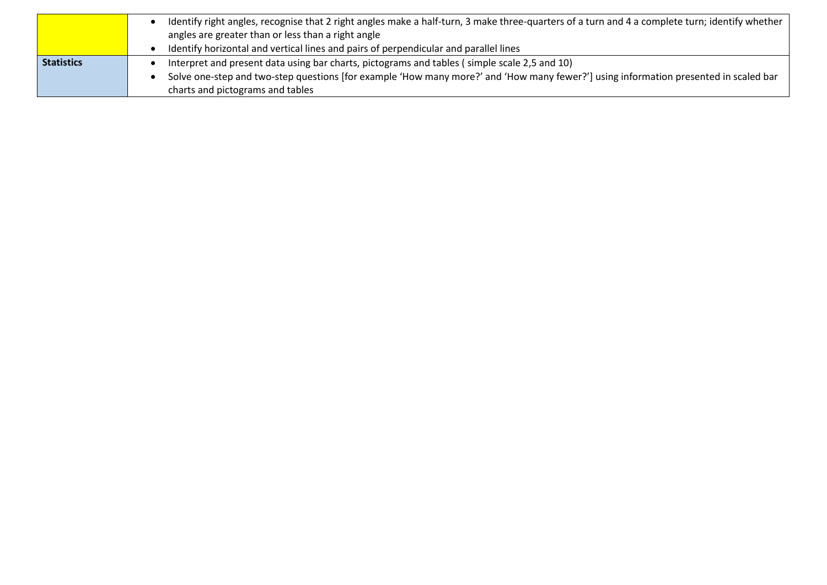|                   | Identify right angles, recognise that 2 right angles make a half-turn, 3 make three-quarters of a turn and 4 a complete turn; identify whether<br>angles are greater than or less than a right angle |
|-------------------|------------------------------------------------------------------------------------------------------------------------------------------------------------------------------------------------------|
|                   | Identify horizontal and vertical lines and pairs of perpendicular and parallel lines                                                                                                                 |
| <b>Statistics</b> | Interpret and present data using bar charts, pictograms and tables (simple scale 2,5 and 10)                                                                                                         |
|                   | Solve one-step and two-step questions [for example 'How many more?' and 'How many fewer?'] using information presented in scaled bar                                                                 |
|                   | charts and pictograms and tables                                                                                                                                                                     |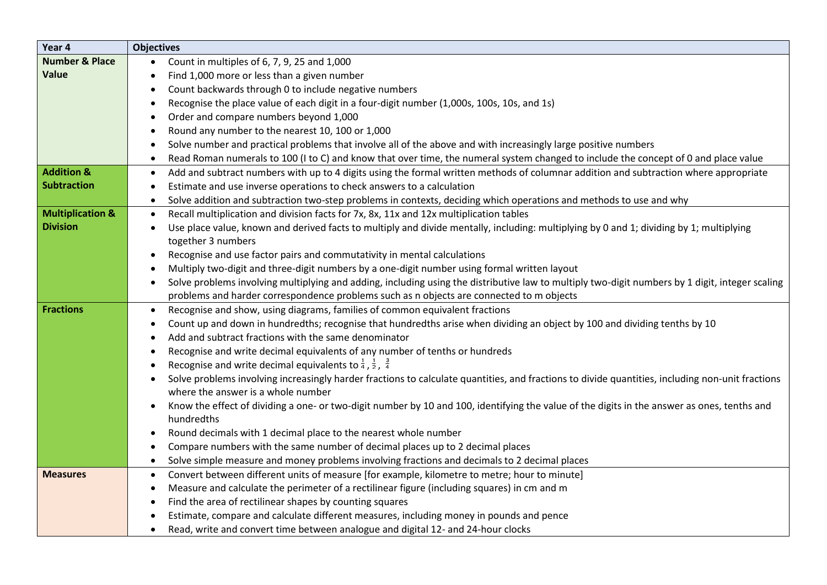| Year 4                      | <b>Objectives</b>                                                                                                                                         |
|-----------------------------|-----------------------------------------------------------------------------------------------------------------------------------------------------------|
| <b>Number &amp; Place</b>   | Count in multiples of 6, 7, 9, 25 and 1,000                                                                                                               |
| Value                       | Find 1,000 more or less than a given number                                                                                                               |
|                             | Count backwards through 0 to include negative numbers                                                                                                     |
|                             | Recognise the place value of each digit in a four-digit number (1,000s, 100s, 10s, and 1s)                                                                |
|                             | Order and compare numbers beyond 1,000                                                                                                                    |
|                             | Round any number to the nearest 10, 100 or 1,000<br>$\bullet$                                                                                             |
|                             | Solve number and practical problems that involve all of the above and with increasingly large positive numbers                                            |
|                             | Read Roman numerals to 100 (I to C) and know that over time, the numeral system changed to include the concept of 0 and place value<br>$\bullet$          |
| <b>Addition &amp;</b>       | Add and subtract numbers with up to 4 digits using the formal written methods of columnar addition and subtraction where appropriate<br>$\bullet$         |
| <b>Subtraction</b>          | Estimate and use inverse operations to check answers to a calculation                                                                                     |
|                             | Solve addition and subtraction two-step problems in contexts, deciding which operations and methods to use and why                                        |
| <b>Multiplication &amp;</b> | Recall multiplication and division facts for 7x, 8x, 11x and 12x multiplication tables<br>$\bullet$                                                       |
| <b>Division</b>             | Use place value, known and derived facts to multiply and divide mentally, including: multiplying by 0 and 1; dividing by 1; multiplying                   |
|                             | together 3 numbers                                                                                                                                        |
|                             | Recognise and use factor pairs and commutativity in mental calculations                                                                                   |
|                             | Multiply two-digit and three-digit numbers by a one-digit number using formal written layout                                                              |
|                             | Solve problems involving multiplying and adding, including using the distributive law to multiply two-digit numbers by 1 digit, integer scaling           |
|                             | problems and harder correspondence problems such as n objects are connected to m objects                                                                  |
| <b>Fractions</b>            | Recognise and show, using diagrams, families of common equivalent fractions<br>$\bullet$                                                                  |
|                             | Count up and down in hundredths; recognise that hundredths arise when dividing an object by 100 and dividing tenths by 10                                 |
|                             | Add and subtract fractions with the same denominator                                                                                                      |
|                             | Recognise and write decimal equivalents of any number of tenths or hundreds                                                                               |
|                             | Recognise and write decimal equivalents to $\frac{1}{4}$ , $\frac{1}{2}$ , $\frac{3}{4}$                                                                  |
|                             | Solve problems involving increasingly harder fractions to calculate quantities, and fractions to divide quantities, including non-unit fractions          |
|                             | where the answer is a whole number                                                                                                                        |
|                             | Know the effect of dividing a one- or two-digit number by 10 and 100, identifying the value of the digits in the answer as ones, tenths and<br>hundredths |
|                             | Round decimals with 1 decimal place to the nearest whole number                                                                                           |
|                             | Compare numbers with the same number of decimal places up to 2 decimal places                                                                             |
|                             | Solve simple measure and money problems involving fractions and decimals to 2 decimal places<br>$\bullet$                                                 |
| <b>Measures</b>             | Convert between different units of measure [for example, kilometre to metre; hour to minute]<br>$\bullet$                                                 |
|                             | Measure and calculate the perimeter of a rectilinear figure (including squares) in cm and m<br>$\bullet$                                                  |
|                             | Find the area of rectilinear shapes by counting squares                                                                                                   |
|                             | Estimate, compare and calculate different measures, including money in pounds and pence                                                                   |
|                             | Read, write and convert time between analogue and digital 12- and 24-hour clocks                                                                          |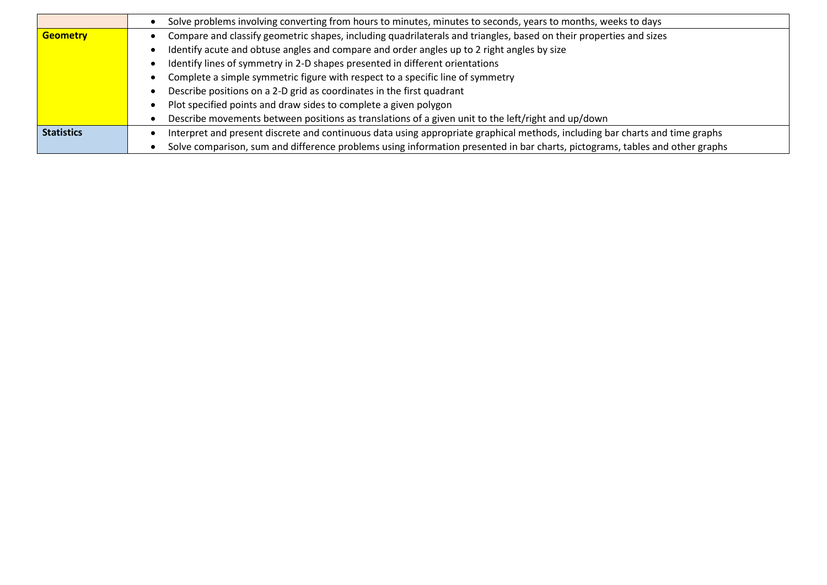|                   | Solve problems involving converting from hours to minutes, minutes to seconds, years to months, weeks to days                |
|-------------------|------------------------------------------------------------------------------------------------------------------------------|
| <b>Geometry</b>   | Compare and classify geometric shapes, including quadrilaterals and triangles, based on their properties and sizes           |
|                   | Identify acute and obtuse angles and compare and order angles up to 2 right angles by size                                   |
|                   | Identify lines of symmetry in 2-D shapes presented in different orientations                                                 |
|                   | Complete a simple symmetric figure with respect to a specific line of symmetry                                               |
|                   | Describe positions on a 2-D grid as coordinates in the first quadrant                                                        |
|                   | Plot specified points and draw sides to complete a given polygon                                                             |
|                   | Describe movements between positions as translations of a given unit to the left/right and up/down                           |
| <b>Statistics</b> | Interpret and present discrete and continuous data using appropriate graphical methods, including bar charts and time graphs |
|                   | Solve comparison, sum and difference problems using information presented in bar charts, pictograms, tables and other graphs |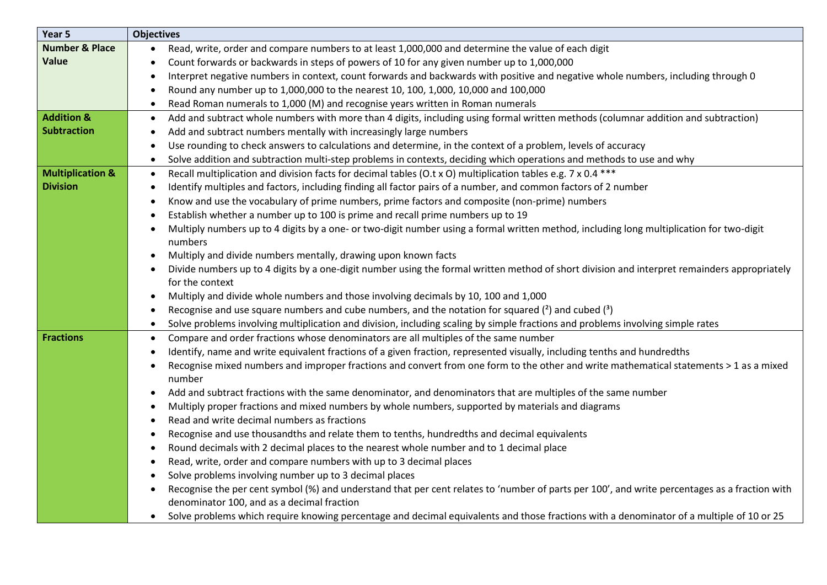| Year 5                      | <b>Objectives</b>                                                                                                                                          |
|-----------------------------|------------------------------------------------------------------------------------------------------------------------------------------------------------|
| <b>Number &amp; Place</b>   | Read, write, order and compare numbers to at least 1,000,000 and determine the value of each digit<br>٠                                                    |
| <b>Value</b>                | Count forwards or backwards in steps of powers of 10 for any given number up to 1,000,000                                                                  |
|                             | Interpret negative numbers in context, count forwards and backwards with positive and negative whole numbers, including through 0<br>$\bullet$             |
|                             | Round any number up to 1,000,000 to the nearest 10, 100, 1,000, 10,000 and 100,000<br>$\bullet$                                                            |
|                             | Read Roman numerals to 1,000 (M) and recognise years written in Roman numerals<br>$\bullet$                                                                |
| <b>Addition &amp;</b>       | Add and subtract whole numbers with more than 4 digits, including using formal written methods (columnar addition and subtraction)<br>$\bullet$            |
| <b>Subtraction</b>          | Add and subtract numbers mentally with increasingly large numbers<br>$\bullet$                                                                             |
|                             | Use rounding to check answers to calculations and determine, in the context of a problem, levels of accuracy<br>$\bullet$                                  |
|                             | Solve addition and subtraction multi-step problems in contexts, deciding which operations and methods to use and why<br>$\bullet$                          |
| <b>Multiplication &amp;</b> | Recall multiplication and division facts for decimal tables (O.t x O) multiplication tables e.g. 7 x 0.4 ***<br>$\bullet$                                  |
| <b>Division</b>             | Identify multiples and factors, including finding all factor pairs of a number, and common factors of 2 number<br>$\bullet$                                |
|                             | Know and use the vocabulary of prime numbers, prime factors and composite (non-prime) numbers<br>$\bullet$                                                 |
|                             | Establish whether a number up to 100 is prime and recall prime numbers up to 19                                                                            |
|                             | Multiply numbers up to 4 digits by a one- or two-digit number using a formal written method, including long multiplication for two-digit                   |
|                             | numbers                                                                                                                                                    |
|                             | Multiply and divide numbers mentally, drawing upon known facts                                                                                             |
|                             | Divide numbers up to 4 digits by a one-digit number using the formal written method of short division and interpret remainders appropriately<br>$\bullet$  |
|                             | for the context                                                                                                                                            |
|                             | Multiply and divide whole numbers and those involving decimals by 10, 100 and 1,000<br>٠                                                                   |
|                             | Recognise and use square numbers and cube numbers, and the notation for squared $(^2)$ and cubed $(^3)$<br>$\bullet$                                       |
|                             | Solve problems involving multiplication and division, including scaling by simple fractions and problems involving simple rates<br>$\bullet$               |
| <b>Fractions</b>            | Compare and order fractions whose denominators are all multiples of the same number<br>$\bullet$                                                           |
|                             | Identify, name and write equivalent fractions of a given fraction, represented visually, including tenths and hundredths<br>$\bullet$                      |
|                             | Recognise mixed numbers and improper fractions and convert from one form to the other and write mathematical statements > 1 as a mixed<br>$\bullet$        |
|                             | number                                                                                                                                                     |
|                             | Add and subtract fractions with the same denominator, and denominators that are multiples of the same number<br>$\bullet$                                  |
|                             | Multiply proper fractions and mixed numbers by whole numbers, supported by materials and diagrams                                                          |
|                             | Read and write decimal numbers as fractions                                                                                                                |
|                             | Recognise and use thousandths and relate them to tenths, hundredths and decimal equivalents<br>$\bullet$                                                   |
|                             | Round decimals with 2 decimal places to the nearest whole number and to 1 decimal place<br>$\bullet$                                                       |
|                             | Read, write, order and compare numbers with up to 3 decimal places<br>$\bullet$                                                                            |
|                             | Solve problems involving number up to 3 decimal places                                                                                                     |
|                             | Recognise the per cent symbol (%) and understand that per cent relates to 'number of parts per 100', and write percentages as a fraction with<br>$\bullet$ |
|                             | denominator 100, and as a decimal fraction                                                                                                                 |
|                             | Solve problems which require knowing percentage and decimal equivalents and those fractions with a denominator of a multiple of 10 or 25<br>$\bullet$      |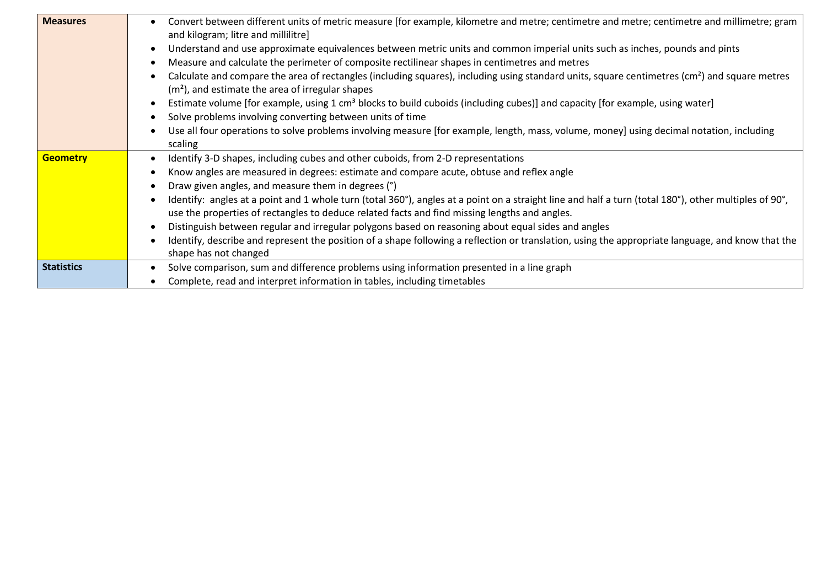| <b>Measures</b>   | Convert between different units of metric measure [for example, kilometre and metre; centimetre and metre; centimetre and millimetre; gram<br>$\bullet$<br>and kilogram; litre and millilitre]                                                                      |
|-------------------|---------------------------------------------------------------------------------------------------------------------------------------------------------------------------------------------------------------------------------------------------------------------|
|                   | Understand and use approximate equivalences between metric units and common imperial units such as inches, pounds and pints<br>$\bullet$                                                                                                                            |
|                   | Measure and calculate the perimeter of composite rectilinear shapes in centimetres and metres<br>$\bullet$                                                                                                                                                          |
|                   | Calculate and compare the area of rectangles (including squares), including using standard units, square centimetres $(cm2)$ and square metres<br>$\bullet$<br>$(m2)$ , and estimate the area of irregular shapes                                                   |
|                   | Estimate volume [for example, using 1 cm <sup>3</sup> blocks to build cuboids (including cubes)] and capacity [for example, using water]<br>$\bullet$                                                                                                               |
|                   | Solve problems involving converting between units of time<br>$\bullet$                                                                                                                                                                                              |
|                   | Use all four operations to solve problems involving measure [for example, length, mass, volume, money] using decimal notation, including<br>$\bullet$<br>scaling                                                                                                    |
| <b>Geometry</b>   | Identify 3-D shapes, including cubes and other cuboids, from 2-D representations<br>$\bullet$                                                                                                                                                                       |
|                   | Know angles are measured in degrees: estimate and compare acute, obtuse and reflex angle<br>$\bullet$                                                                                                                                                               |
|                   | Draw given angles, and measure them in degrees (°)                                                                                                                                                                                                                  |
|                   | Identify: angles at a point and 1 whole turn (total 360°), angles at a point on a straight line and half a turn (total 180°), other multiples of 90°,<br>$\bullet$<br>use the properties of rectangles to deduce related facts and find missing lengths and angles. |
|                   | Distinguish between regular and irregular polygons based on reasoning about equal sides and angles                                                                                                                                                                  |
|                   | Identify, describe and represent the position of a shape following a reflection or translation, using the appropriate language, and know that the<br>$\bullet$<br>shape has not changed                                                                             |
| <b>Statistics</b> | Solve comparison, sum and difference problems using information presented in a line graph<br>$\bullet$                                                                                                                                                              |
|                   | Complete, read and interpret information in tables, including timetables                                                                                                                                                                                            |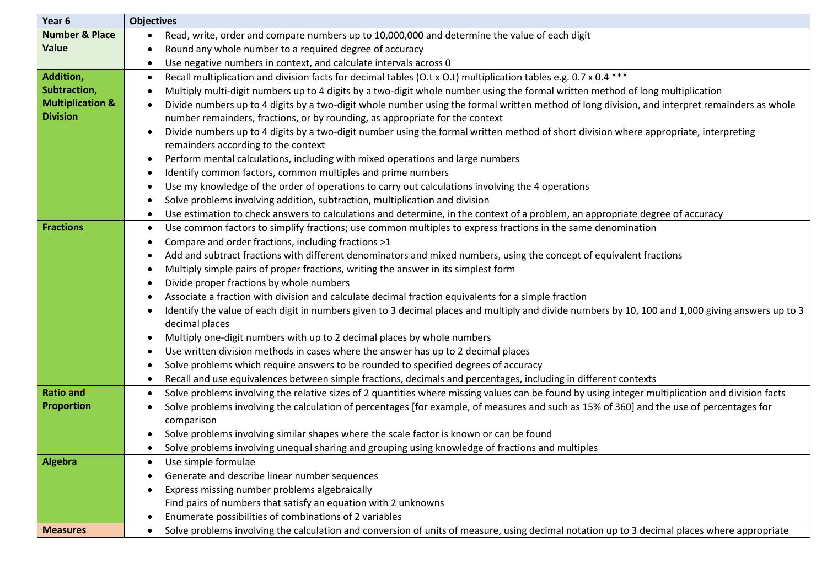| Year 6                      | <b>Objectives</b>                                                                                                                                             |
|-----------------------------|---------------------------------------------------------------------------------------------------------------------------------------------------------------|
| <b>Number &amp; Place</b>   | Read, write, order and compare numbers up to 10,000,000 and determine the value of each digit<br>$\bullet$                                                    |
| <b>Value</b>                | Round any whole number to a required degree of accuracy                                                                                                       |
|                             | Use negative numbers in context, and calculate intervals across 0<br>$\bullet$                                                                                |
| Addition,                   | Recall multiplication and division facts for decimal tables (O.t x O.t) multiplication tables e.g. 0.7 x 0.4 ***<br>$\bullet$                                 |
| Subtraction,                | Multiply multi-digit numbers up to 4 digits by a two-digit whole number using the formal written method of long multiplication                                |
| <b>Multiplication &amp;</b> | Divide numbers up to 4 digits by a two-digit whole number using the formal written method of long division, and interpret remainders as whole                 |
| <b>Division</b>             | number remainders, fractions, or by rounding, as appropriate for the context                                                                                  |
|                             | Divide numbers up to 4 digits by a two-digit number using the formal written method of short division where appropriate, interpreting                         |
|                             | remainders according to the context                                                                                                                           |
|                             | Perform mental calculations, including with mixed operations and large numbers<br>$\bullet$                                                                   |
|                             | Identify common factors, common multiples and prime numbers<br>٠                                                                                              |
|                             | Use my knowledge of the order of operations to carry out calculations involving the 4 operations                                                              |
|                             | Solve problems involving addition, subtraction, multiplication and division<br>$\bullet$                                                                      |
|                             | Use estimation to check answers to calculations and determine, in the context of a problem, an appropriate degree of accuracy<br>$\bullet$                    |
| <b>Fractions</b>            | Use common factors to simplify fractions; use common multiples to express fractions in the same denomination<br>$\bullet$                                     |
|                             | Compare and order fractions, including fractions >1<br>$\bullet$                                                                                              |
|                             | Add and subtract fractions with different denominators and mixed numbers, using the concept of equivalent fractions                                           |
|                             | Multiply simple pairs of proper fractions, writing the answer in its simplest form                                                                            |
|                             | Divide proper fractions by whole numbers<br>$\bullet$                                                                                                         |
|                             | Associate a fraction with division and calculate decimal fraction equivalents for a simple fraction                                                           |
|                             | Identify the value of each digit in numbers given to 3 decimal places and multiply and divide numbers by 10, 100 and 1,000 giving answers up to 3             |
|                             | decimal places                                                                                                                                                |
|                             | Multiply one-digit numbers with up to 2 decimal places by whole numbers<br>٠                                                                                  |
|                             | Use written division methods in cases where the answer has up to 2 decimal places                                                                             |
|                             | Solve problems which require answers to be rounded to specified degrees of accuracy<br>$\bullet$                                                              |
|                             | Recall and use equivalences between simple fractions, decimals and percentages, including in different contexts<br>$\bullet$                                  |
| <b>Ratio and</b>            | Solve problems involving the relative sizes of 2 quantities where missing values can be found by using integer multiplication and division facts<br>$\bullet$ |
| <b>Proportion</b>           | Solve problems involving the calculation of percentages [for example, of measures and such as 15% of 360] and the use of percentages for<br>$\bullet$         |
|                             | comparison                                                                                                                                                    |
|                             | Solve problems involving similar shapes where the scale factor is known or can be found                                                                       |
|                             | Solve problems involving unequal sharing and grouping using knowledge of fractions and multiples<br>$\bullet$                                                 |
| <b>Algebra</b>              | Use simple formulae                                                                                                                                           |
|                             | Generate and describe linear number sequences                                                                                                                 |
|                             | Express missing number problems algebraically                                                                                                                 |
|                             | Find pairs of numbers that satisfy an equation with 2 unknowns                                                                                                |
|                             | Enumerate possibilities of combinations of 2 variables                                                                                                        |
| <b>Measures</b>             | Solve problems involving the calculation and conversion of units of measure, using decimal notation up to 3 decimal places where appropriate<br>$\bullet$     |